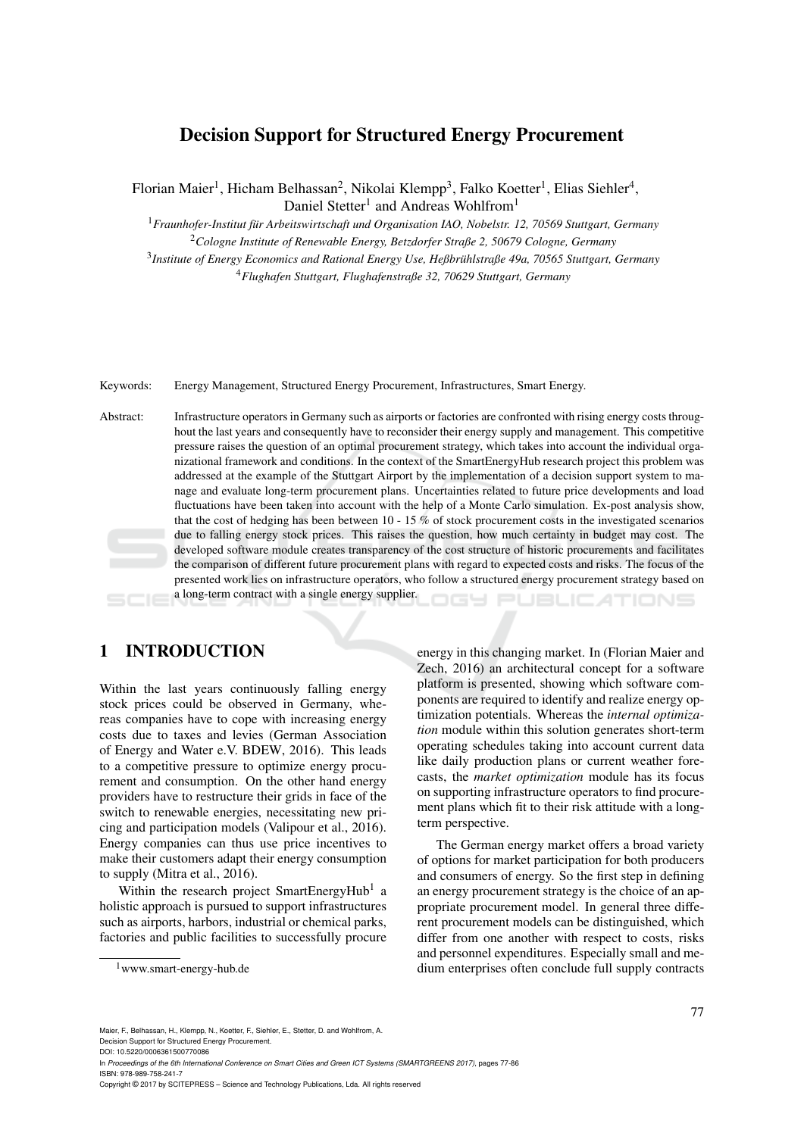# Decision Support for Structured Energy Procurement

Florian Maier<sup>1</sup>, Hicham Belhassan<sup>2</sup>, Nikolai Klempp<sup>3</sup>, Falko Koetter<sup>1</sup>, Elias Siehler<sup>4</sup>, Daniel Stetter<sup>1</sup> and Andreas Wohlfrom<sup>1</sup>

*Fraunhofer-Institut fur Arbeitswirtschaft und Organisation IAO, Nobelstr. 12, 70569 Stuttgart, Germany ¨ Cologne Institute of Renewable Energy, Betzdorfer Straße 2, 50679 Cologne, Germany Institute of Energy Economics and Rational Energy Use, Heßbruhlstraße 49a, 70565 Stuttgart, Germany ¨ Flughafen Stuttgart, Flughafenstraße 32, 70629 Stuttgart, Germany*

Keywords: Energy Management, Structured Energy Procurement, Infrastructures, Smart Energy.

Abstract: Infrastructure operators in Germany such as airports or factories are confronted with rising energy costs throughout the last years and consequently have to reconsider their energy supply and management. This competitive pressure raises the question of an optimal procurement strategy, which takes into account the individual organizational framework and conditions. In the context of the SmartEnergyHub research project this problem was addressed at the example of the Stuttgart Airport by the implementation of a decision support system to manage and evaluate long-term procurement plans. Uncertainties related to future price developments and load fluctuations have been taken into account with the help of a Monte Carlo simulation. Ex-post analysis show, that the cost of hedging has been between 10 - 15 % of stock procurement costs in the investigated scenarios due to falling energy stock prices. This raises the question, how much certainty in budget may cost. The developed software module creates transparency of the cost structure of historic procurements and facilitates the comparison of different future procurement plans with regard to expected costs and risks. The focus of the presented work lies on infrastructure operators, who follow a structured energy procurement strategy based on a long-term contract with a single energy supplier. JBLIC ATIONS

## 1 INTRODUCTION

Within the last years continuously falling energy stock prices could be observed in Germany, whereas companies have to cope with increasing energy costs due to taxes and levies (German Association of Energy and Water e.V. BDEW, 2016). This leads to a competitive pressure to optimize energy procurement and consumption. On the other hand energy providers have to restructure their grids in face of the switch to renewable energies, necessitating new pricing and participation models (Valipour et al., 2016). Energy companies can thus use price incentives to make their customers adapt their energy consumption to supply (Mitra et al., 2016).

Within the research project SmartEnergyHub<sup>1</sup> a holistic approach is pursued to support infrastructures such as airports, harbors, industrial or chemical parks, factories and public facilities to successfully procure energy in this changing market. In (Florian Maier and Zech, 2016) an architectural concept for a software platform is presented, showing which software components are required to identify and realize energy optimization potentials. Whereas the *internal optimization* module within this solution generates short-term operating schedules taking into account current data like daily production plans or current weather forecasts, the *market optimization* module has its focus on supporting infrastructure operators to find procurement plans which fit to their risk attitude with a longterm perspective.

The German energy market offers a broad variety of options for market participation for both producers and consumers of energy. So the first step in defining an energy procurement strategy is the choice of an appropriate procurement model. In general three different procurement models can be distinguished, which differ from one another with respect to costs, risks and personnel expenditures. Especially small and medium enterprises often conclude full supply contracts

Maier, F., Belhassan, H., Klempp, N., Koetter, F., Siehler, E., Stetter, D. and Wohlfrom, A. Decision Support for Structured Energy Procurement. DOI: 10.5220/0006361500770086

In *Proceedings of the 6th International Conference on Smart Cities and Green ICT Systems (SMARTGREENS 2017)*, pages 77-86 ISBN: 978-989-758-241-7

 $1$ www.smart-energy-hub.de

Copyright © 2017 by SCITEPRESS – Science and Technology Publications, Lda. All rights reserved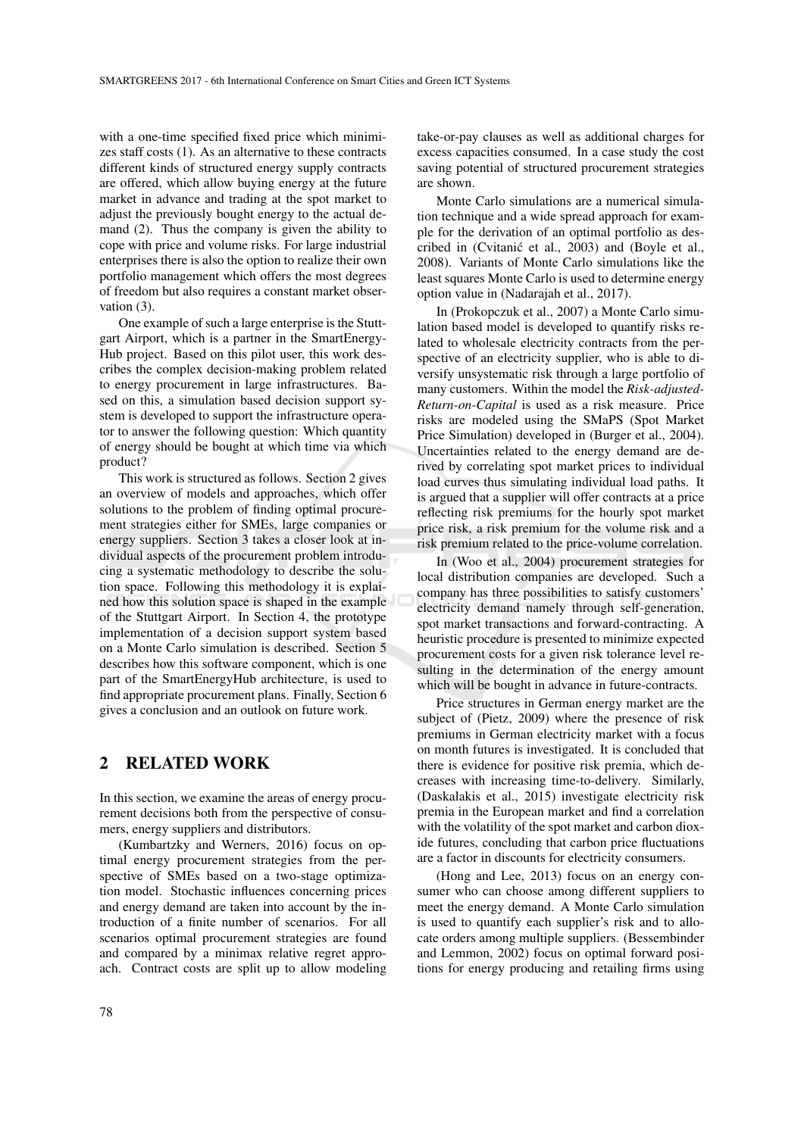with a one-time specified fixed price which minimizes staff costs (1). As an alternative to these contracts different kinds of structured energy supply contracts are offered, which allow buying energy at the future market in advance and trading at the spot market to adjust the previously bought energy to the actual demand (2). Thus the company is given the ability to cope with price and volume risks. For large industrial enterprises there is also the option to realize their own portfolio management which offers the most degrees of freedom but also requires a constant market observation (3).

One example of such a large enterprise is the Stuttgart Airport, which is a partner in the SmartEnergy-Hub project. Based on this pilot user, this work describes the complex decision-making problem related to energy procurement in large infrastructures. Based on this, a simulation based decision support system is developed to support the infrastructure operator to answer the following question: Which quantity of energy should be bought at which time via which product?

This work is structured as follows. Section 2 gives an overview of models and approaches, which offer solutions to the problem of finding optimal procurement strategies either for SMEs, large companies or energy suppliers. Section 3 takes a closer look at individual aspects of the procurement problem introducing a systematic methodology to describe the solution space. Following this methodology it is explained how this solution space is shaped in the example of the Stuttgart Airport. In Section 4, the prototype implementation of a decision support system based on a Monte Carlo simulation is described. Section 5 describes how this software component, which is one part of the SmartEnergyHub architecture, is used to find appropriate procurement plans. Finally, Section 6 gives a conclusion and an outlook on future work.

## 2 RELATED WORK

In this section, we examine the areas of energy procurement decisions both from the perspective of consumers, energy suppliers and distributors.

(Kumbartzky and Werners, 2016) focus on optimal energy procurement strategies from the perspective of SMEs based on a two-stage optimization model. Stochastic influences concerning prices and energy demand are taken into account by the introduction of a finite number of scenarios. For all scenarios optimal procurement strategies are found and compared by a minimax relative regret approach. Contract costs are split up to allow modeling take-or-pay clauses as well as additional charges for excess capacities consumed. In a case study the cost saving potential of structured procurement strategies are shown.

Monte Carlo simulations are a numerical simulation technique and a wide spread approach for example for the derivation of an optimal portfolio as described in (Cvitanić et al., 2003) and (Boyle et al., 2008). Variants of Monte Carlo simulations like the least squares Monte Carlo is used to determine energy option value in (Nadarajah et al., 2017).

In (Prokopczuk et al., 2007) a Monte Carlo simulation based model is developed to quantify risks related to wholesale electricity contracts from the perspective of an electricity supplier, who is able to diversify unsystematic risk through a large portfolio of many customers. Within the model the *Risk-adjusted-Return-on-Capital* is used as a risk measure. Price risks are modeled using the SMaPS (Spot Market Price Simulation) developed in (Burger et al., 2004). Uncertainties related to the energy demand are derived by correlating spot market prices to individual load curves thus simulating individual load paths. It is argued that a supplier will offer contracts at a price reflecting risk premiums for the hourly spot market price risk, a risk premium for the volume risk and a risk premium related to the price-volume correlation.

In (Woo et al., 2004) procurement strategies for local distribution companies are developed. Such a company has three possibilities to satisfy customers' electricity demand namely through self-generation, spot market transactions and forward-contracting. A heuristic procedure is presented to minimize expected procurement costs for a given risk tolerance level resulting in the determination of the energy amount which will be bought in advance in future-contracts.

Price structures in German energy market are the subject of (Pietz, 2009) where the presence of risk premiums in German electricity market with a focus on month futures is investigated. It is concluded that there is evidence for positive risk premia, which decreases with increasing time-to-delivery. Similarly, (Daskalakis et al., 2015) investigate electricity risk premia in the European market and find a correlation with the volatility of the spot market and carbon dioxide futures, concluding that carbon price fluctuations are a factor in discounts for electricity consumers.

(Hong and Lee, 2013) focus on an energy consumer who can choose among different suppliers to meet the energy demand. A Monte Carlo simulation is used to quantify each supplier's risk and to allocate orders among multiple suppliers. (Bessembinder and Lemmon, 2002) focus on optimal forward positions for energy producing and retailing firms using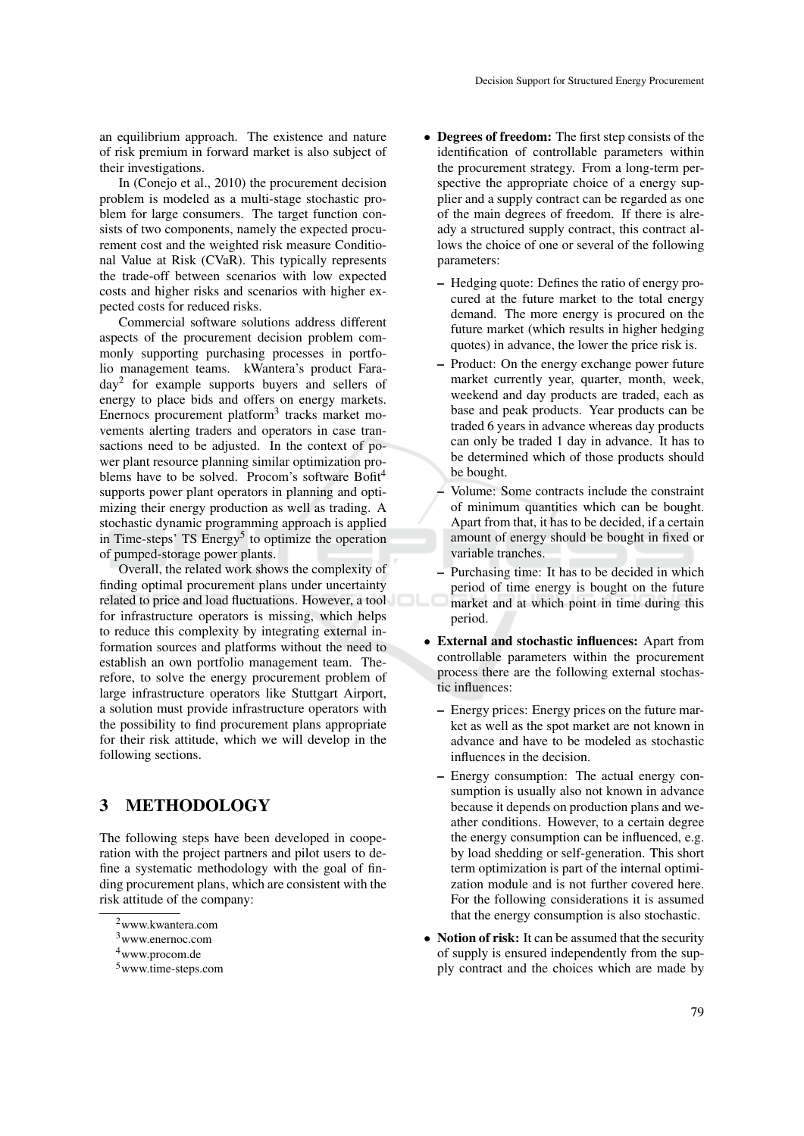an equilibrium approach. The existence and nature of risk premium in forward market is also subject of their investigations.

In (Conejo et al., 2010) the procurement decision problem is modeled as a multi-stage stochastic problem for large consumers. The target function consists of two components, namely the expected procurement cost and the weighted risk measure Conditional Value at Risk (CVaR). This typically represents the trade-off between scenarios with low expected costs and higher risks and scenarios with higher expected costs for reduced risks.

Commercial software solutions address different aspects of the procurement decision problem commonly supporting purchasing processes in portfolio management teams. kWantera's product Faraday<sup>2</sup> for example supports buyers and sellers of energy to place bids and offers on energy markets. Enernocs procurement platform<sup>3</sup> tracks market movements alerting traders and operators in case transactions need to be adjusted. In the context of power plant resource planning similar optimization problems have to be solved. Procom's software Bofit<sup>4</sup> supports power plant operators in planning and optimizing their energy production as well as trading. A stochastic dynamic programming approach is applied in Time-steps' TS Energy<sup>5</sup> to optimize the operation of pumped-storage power plants.

Overall, the related work shows the complexity of finding optimal procurement plans under uncertainty related to price and load fluctuations. However, a tool for infrastructure operators is missing, which helps to reduce this complexity by integrating external information sources and platforms without the need to establish an own portfolio management team. Therefore, to solve the energy procurement problem of large infrastructure operators like Stuttgart Airport, a solution must provide infrastructure operators with the possibility to find procurement plans appropriate for their risk attitude, which we will develop in the following sections.

## 3 METHODOLOGY

The following steps have been developed in cooperation with the project partners and pilot users to define a systematic methodology with the goal of finding procurement plans, which are consistent with the risk attitude of the company:

<sup>3</sup>www.enernoc.com

- Degrees of freedom: The first step consists of the identification of controllable parameters within the procurement strategy. From a long-term perspective the appropriate choice of a energy supplier and a supply contract can be regarded as one of the main degrees of freedom. If there is already a structured supply contract, this contract allows the choice of one or several of the following parameters:
	- Hedging quote: Defines the ratio of energy procured at the future market to the total energy demand. The more energy is procured on the future market (which results in higher hedging quotes) in advance, the lower the price risk is.
	- Product: On the energy exchange power future market currently year, quarter, month, week, weekend and day products are traded, each as base and peak products. Year products can be traded 6 years in advance whereas day products can only be traded 1 day in advance. It has to be determined which of those products should be bought.
	- Volume: Some contracts include the constraint of minimum quantities which can be bought. Apart from that, it has to be decided, if a certain amount of energy should be bought in fixed or variable tranches.
	- Purchasing time: It has to be decided in which period of time energy is bought on the future market and at which point in time during this period.
- External and stochastic influences: Apart from controllable parameters within the procurement process there are the following external stochastic influences:
	- Energy prices: Energy prices on the future market as well as the spot market are not known in advance and have to be modeled as stochastic influences in the decision.
	- Energy consumption: The actual energy consumption is usually also not known in advance because it depends on production plans and weather conditions. However, to a certain degree the energy consumption can be influenced, e.g. by load shedding or self-generation. This short term optimization is part of the internal optimization module and is not further covered here. For the following considerations it is assumed that the energy consumption is also stochastic.
- Notion of risk: It can be assumed that the security of supply is ensured independently from the supply contract and the choices which are made by

<sup>2</sup>www.kwantera.com

<sup>4</sup>www.procom.de

<sup>5</sup>www.time-steps.com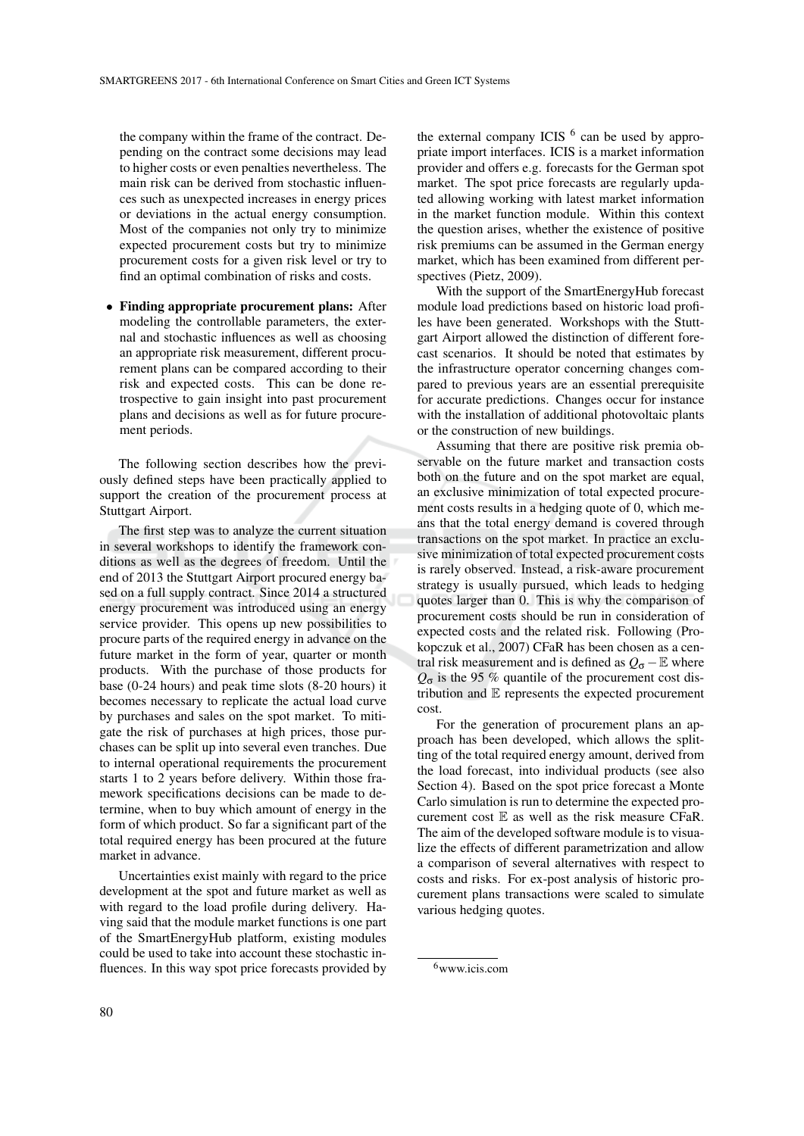the company within the frame of the contract. Depending on the contract some decisions may lead to higher costs or even penalties nevertheless. The main risk can be derived from stochastic influences such as unexpected increases in energy prices or deviations in the actual energy consumption. Most of the companies not only try to minimize expected procurement costs but try to minimize procurement costs for a given risk level or try to find an optimal combination of risks and costs.

• Finding appropriate procurement plans: After modeling the controllable parameters, the external and stochastic influences as well as choosing an appropriate risk measurement, different procurement plans can be compared according to their risk and expected costs. This can be done retrospective to gain insight into past procurement plans and decisions as well as for future procurement periods.

The following section describes how the previously defined steps have been practically applied to support the creation of the procurement process at Stuttgart Airport.

The first step was to analyze the current situation in several workshops to identify the framework conditions as well as the degrees of freedom. Until the end of 2013 the Stuttgart Airport procured energy based on a full supply contract. Since 2014 a structured energy procurement was introduced using an energy service provider. This opens up new possibilities to procure parts of the required energy in advance on the future market in the form of year, quarter or month products. With the purchase of those products for base (0-24 hours) and peak time slots (8-20 hours) it becomes necessary to replicate the actual load curve by purchases and sales on the spot market. To mitigate the risk of purchases at high prices, those purchases can be split up into several even tranches. Due to internal operational requirements the procurement starts 1 to 2 years before delivery. Within those framework specifications decisions can be made to determine, when to buy which amount of energy in the form of which product. So far a significant part of the total required energy has been procured at the future market in advance.

Uncertainties exist mainly with regard to the price development at the spot and future market as well as with regard to the load profile during delivery. Having said that the module market functions is one part of the SmartEnergyHub platform, existing modules could be used to take into account these stochastic influences. In this way spot price forecasts provided by

the external company ICIS  $<sup>6</sup>$  can be used by appro-</sup> priate import interfaces. ICIS is a market information provider and offers e.g. forecasts for the German spot market. The spot price forecasts are regularly updated allowing working with latest market information in the market function module. Within this context the question arises, whether the existence of positive risk premiums can be assumed in the German energy market, which has been examined from different perspectives (Pietz, 2009).

With the support of the SmartEnergyHub forecast module load predictions based on historic load profiles have been generated. Workshops with the Stuttgart Airport allowed the distinction of different forecast scenarios. It should be noted that estimates by the infrastructure operator concerning changes compared to previous years are an essential prerequisite for accurate predictions. Changes occur for instance with the installation of additional photovoltaic plants or the construction of new buildings.

Assuming that there are positive risk premia observable on the future market and transaction costs both on the future and on the spot market are equal, an exclusive minimization of total expected procurement costs results in a hedging quote of 0, which means that the total energy demand is covered through transactions on the spot market. In practice an exclusive minimization of total expected procurement costs is rarely observed. Instead, a risk-aware procurement strategy is usually pursued, which leads to hedging quotes larger than 0. This is why the comparison of procurement costs should be run in consideration of expected costs and the related risk. Following (Prokopczuk et al., 2007) CFaR has been chosen as a central risk measurement and is defined as  $O<sub>σ</sub> - E$  where  $Q_{\sigma}$  is the 95 % quantile of the procurement cost distribution and E represents the expected procurement cost.

For the generation of procurement plans an approach has been developed, which allows the splitting of the total required energy amount, derived from the load forecast, into individual products (see also Section 4). Based on the spot price forecast a Monte Carlo simulation is run to determine the expected procurement cost  $E$  as well as the risk measure CFaR. The aim of the developed software module is to visualize the effects of different parametrization and allow a comparison of several alternatives with respect to costs and risks. For ex-post analysis of historic procurement plans transactions were scaled to simulate various hedging quotes.

<sup>6</sup>www.icis.com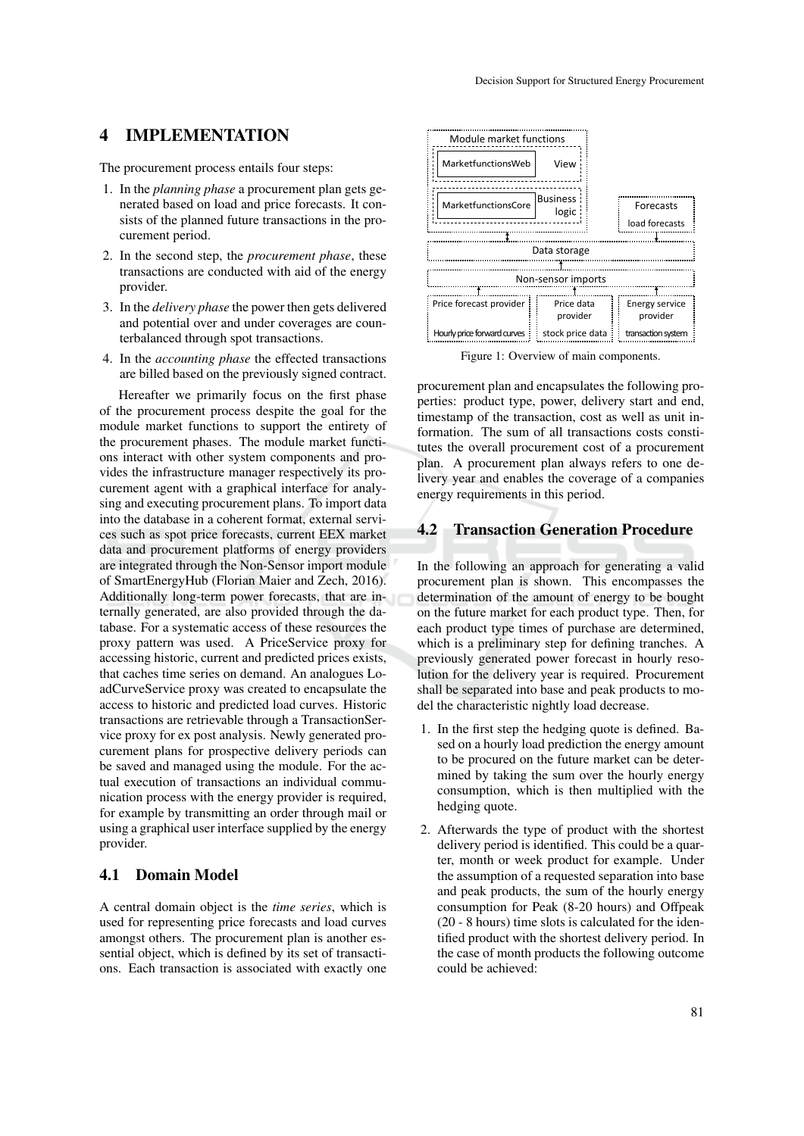### 4 IMPLEMENTATION

The procurement process entails four steps:

- 1. In the *planning phase* a procurement plan gets generated based on load and price forecasts. It consists of the planned future transactions in the procurement period.
- 2. In the second step, the *procurement phase*, these transactions are conducted with aid of the energy provider.
- 3. In the *delivery phase* the power then gets delivered and potential over and under coverages are counterbalanced through spot transactions.
- 4. In the *accounting phase* the effected transactions are billed based on the previously signed contract.

Hereafter we primarily focus on the first phase of the procurement process despite the goal for the module market functions to support the entirety of the procurement phases. The module market functions interact with other system components and provides the infrastructure manager respectively its procurement agent with a graphical interface for analysing and executing procurement plans. To import data into the database in a coherent format, external services such as spot price forecasts, current EEX market data and procurement platforms of energy providers are integrated through the Non-Sensor import module of SmartEnergyHub (Florian Maier and Zech, 2016). Additionally long-term power forecasts, that are internally generated, are also provided through the database. For a systematic access of these resources the proxy pattern was used. A PriceService proxy for accessing historic, current and predicted prices exists, that caches time series on demand. An analogues LoadCurveService proxy was created to encapsulate the access to historic and predicted load curves. Historic transactions are retrievable through a TransactionService proxy for ex post analysis. Newly generated procurement plans for prospective delivery periods can be saved and managed using the module. For the actual execution of transactions an individual communication process with the energy provider is required, for example by transmitting an order through mail or using a graphical user interface supplied by the energy provider.

#### 4.1 Domain Model

A central domain object is the *time series*, which is used for representing price forecasts and load curves amongst others. The procurement plan is another essential object, which is defined by its set of transactions. Each transaction is associated with exactly one



Figure 1: Overview of main components.

procurement plan and encapsulates the following properties: product type, power, delivery start and end, timestamp of the transaction, cost as well as unit information. The sum of all transactions costs constitutes the overall procurement cost of a procurement plan. A procurement plan always refers to one delivery year and enables the coverage of a companies energy requirements in this period.

### 4.2 Transaction Generation Procedure

In the following an approach for generating a valid procurement plan is shown. This encompasses the determination of the amount of energy to be bought on the future market for each product type. Then, for each product type times of purchase are determined, which is a preliminary step for defining tranches. A previously generated power forecast in hourly resolution for the delivery year is required. Procurement shall be separated into base and peak products to model the characteristic nightly load decrease.

- 1. In the first step the hedging quote is defined. Based on a hourly load prediction the energy amount to be procured on the future market can be determined by taking the sum over the hourly energy consumption, which is then multiplied with the hedging quote.
- 2. Afterwards the type of product with the shortest delivery period is identified. This could be a quarter, month or week product for example. Under the assumption of a requested separation into base and peak products, the sum of the hourly energy consumption for Peak (8-20 hours) and Offpeak (20 - 8 hours) time slots is calculated for the identified product with the shortest delivery period. In the case of month products the following outcome could be achieved: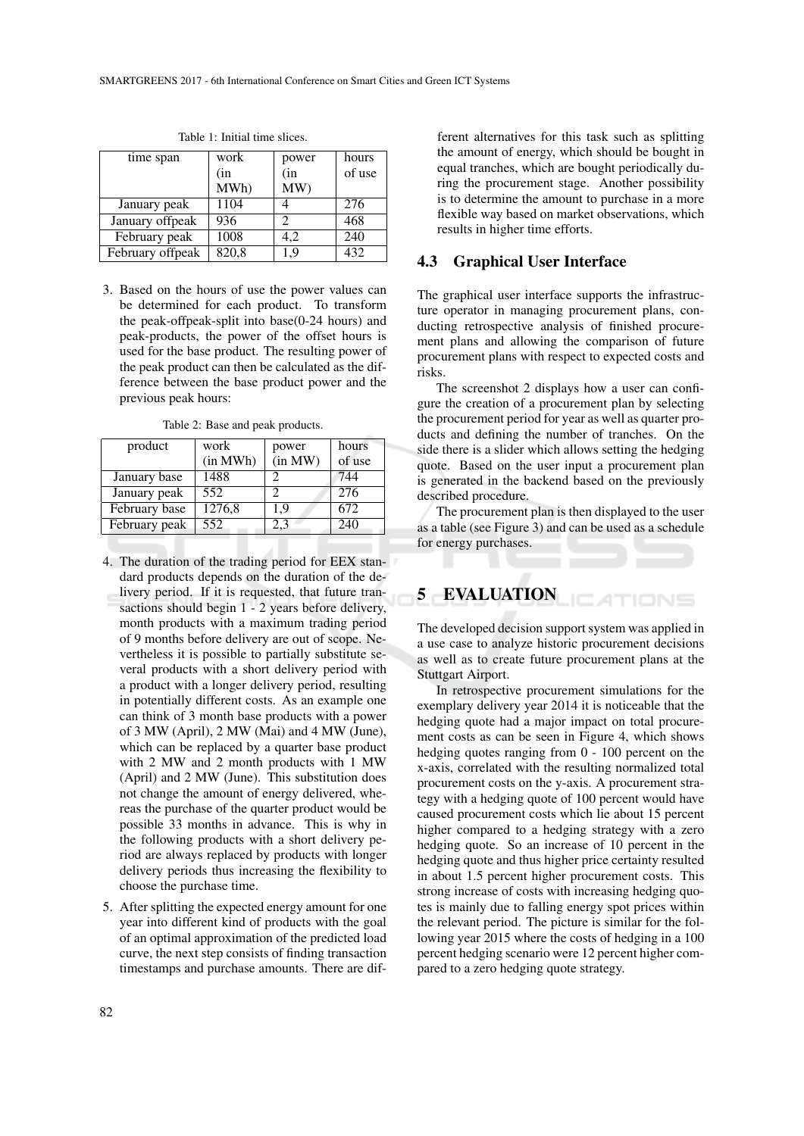| time span        | work  | power | hours  |  |
|------------------|-------|-------|--------|--|
|                  | (in   | (in   | of use |  |
|                  | MWh)  | MW)   |        |  |
| January peak     | 1104  |       | 276    |  |
| January offpeak  | 936   | っ     | 468    |  |
| February peak    | 1008  | 4,2   | 240    |  |
| February offpeak | 820,8 | 1.9   | 432    |  |

Table 1: Initial time slices.

3. Based on the hours of use the power values can be determined for each product. To transform the peak-offpeak-split into base(0-24 hours) and peak-products, the power of the offset hours is used for the base product. The resulting power of the peak product can then be calculated as the difference between the base product power and the previous peak hours:

Table 2: Base and peak products.

| product       | work     | power                       | hours  |  |
|---------------|----------|-----------------------------|--------|--|
|               | (in MWh) | (in MW)                     | of use |  |
| January base  | 1488     | $\mathcal{D}_{\mathcal{L}}$ | 744    |  |
| January peak  | 552      |                             | 276    |  |
| February base | 1276,8   | 1.9                         | 672    |  |
| February peak | 552      | 2.3                         | 240    |  |

- 4. The duration of the trading period for EEX standard products depends on the duration of the delivery period. If it is requested, that future transactions should begin 1 - 2 years before delivery, month products with a maximum trading period of 9 months before delivery are out of scope. Nevertheless it is possible to partially substitute several products with a short delivery period with a product with a longer delivery period, resulting in potentially different costs. As an example one can think of 3 month base products with a power of 3 MW (April), 2 MW (Mai) and 4 MW (June), which can be replaced by a quarter base product with 2 MW and 2 month products with 1 MW (April) and 2 MW (June). This substitution does not change the amount of energy delivered, whereas the purchase of the quarter product would be possible 33 months in advance. This is why in the following products with a short delivery period are always replaced by products with longer delivery periods thus increasing the flexibility to choose the purchase time.
- 5. After splitting the expected energy amount for one year into different kind of products with the goal of an optimal approximation of the predicted load curve, the next step consists of finding transaction timestamps and purchase amounts. There are dif-

ferent alternatives for this task such as splitting the amount of energy, which should be bought in equal tranches, which are bought periodically during the procurement stage. Another possibility is to determine the amount to purchase in a more flexible way based on market observations, which results in higher time efforts.

### 4.3 Graphical User Interface

The graphical user interface supports the infrastructure operator in managing procurement plans, conducting retrospective analysis of finished procurement plans and allowing the comparison of future procurement plans with respect to expected costs and risks.

The screenshot 2 displays how a user can configure the creation of a procurement plan by selecting the procurement period for year as well as quarter products and defining the number of tranches. On the side there is a slider which allows setting the hedging quote. Based on the user input a procurement plan is generated in the backend based on the previously described procedure.

The procurement plan is then displayed to the user as a table (see Figure 3) and can be used as a schedule for energy purchases.

#### 5 EVALUATION **ATIONS**

The developed decision support system was applied in a use case to analyze historic procurement decisions as well as to create future procurement plans at the Stuttgart Airport.

In retrospective procurement simulations for the exemplary delivery year 2014 it is noticeable that the hedging quote had a major impact on total procurement costs as can be seen in Figure 4, which shows hedging quotes ranging from 0 - 100 percent on the x-axis, correlated with the resulting normalized total procurement costs on the y-axis. A procurement strategy with a hedging quote of 100 percent would have caused procurement costs which lie about 15 percent higher compared to a hedging strategy with a zero hedging quote. So an increase of 10 percent in the hedging quote and thus higher price certainty resulted in about 1.5 percent higher procurement costs. This strong increase of costs with increasing hedging quotes is mainly due to falling energy spot prices within the relevant period. The picture is similar for the following year 2015 where the costs of hedging in a 100 percent hedging scenario were 12 percent higher compared to a zero hedging quote strategy.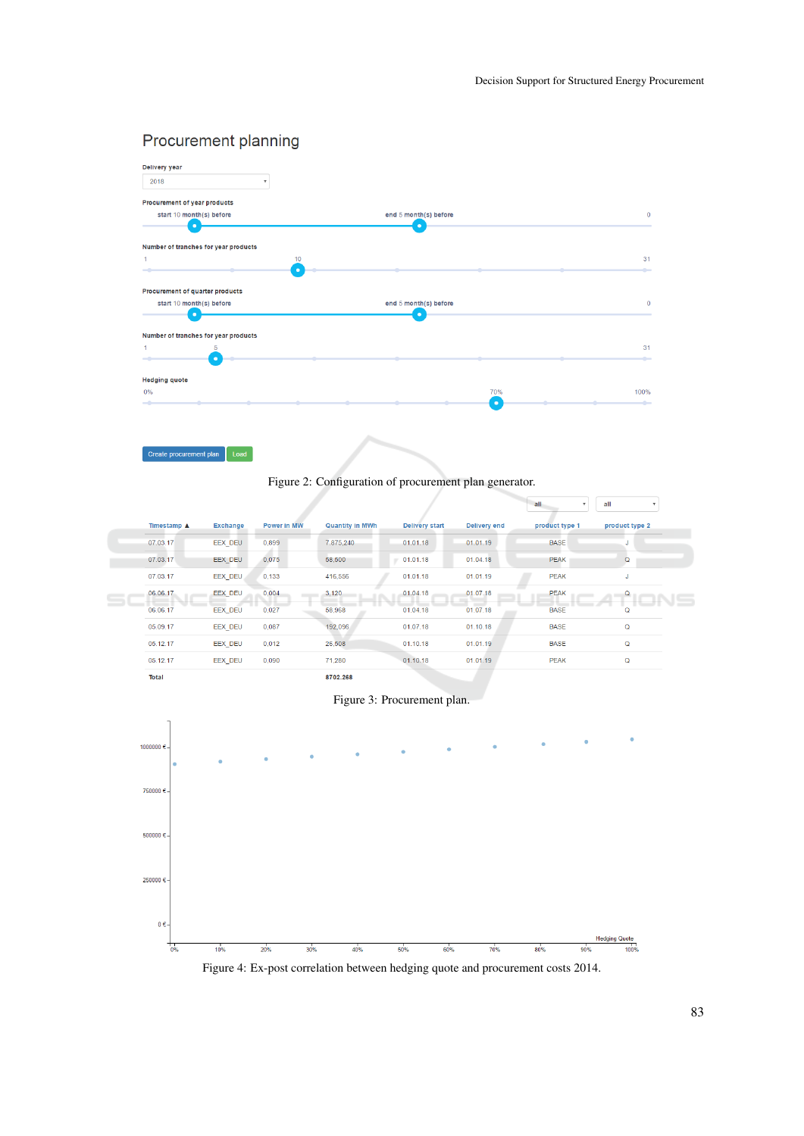# Procurement planning

Create procurement plan Load





|                            |                 |             |                        |                       |                     | all<br>$\overline{\mathbf{v}}$ | all            |
|----------------------------|-----------------|-------------|------------------------|-----------------------|---------------------|--------------------------------|----------------|
| Timestamp $\blacktriangle$ | <b>Exchange</b> | Power in MW | <b>Quantity in MWh</b> | <b>Delivery start</b> | <b>Delivery end</b> | product type 1                 | product type 2 |
| 07.03.17                   | EEX DEU         | 0.899       | 7.875,240              | 01.01.18              | 01.01.19            | <b>BASE</b>                    | J              |
| 07.03.17                   | EEX DEU         | 0,075       | 58,500                 | 01.01.18              | 01.04.18            | <b>PEAK</b>                    | $\Omega$       |
| 07.03.17                   | EEX DEU         | 0.133       | 416,556                | 01.01.18              | 01.01.19            | <b>PEAK</b>                    | J              |
| 06.06.17                   | EEX DEU         | 0,004       | 3,120                  | 01.04.18              | 01.07.18            | <b>PEAK</b>                    | $\mathsf Q$    |
| 06.06.17                   | EEX DEU         | 0,027       | 58,968                 | 01.04.18              | 01.07.18            | <b>BASE</b>                    | Q              |
| 05.09.17                   | EEX DEU         | 0.087       | 192,096                | 01.07.18              | 01.10.18            | <b>BASE</b>                    | $\mathsf Q$    |
| 05.12.17                   | EEX DEU         | 0.012       | 26,508                 | 01.10.18              | 01.01.19            | <b>BASE</b>                    | Q              |
| 05.12.17                   | EEX DEU         | 0.090       | 71.280                 | 01.10.18              | 01.01.19            | <b>PEAK</b>                    | Q              |
| <b>Total</b>               |                 |             | 8702.268               |                       |                     |                                |                |

Figure 3: Procurement plan.



Figure 4: Ex-post correlation between hedging quote and procurement costs 2014.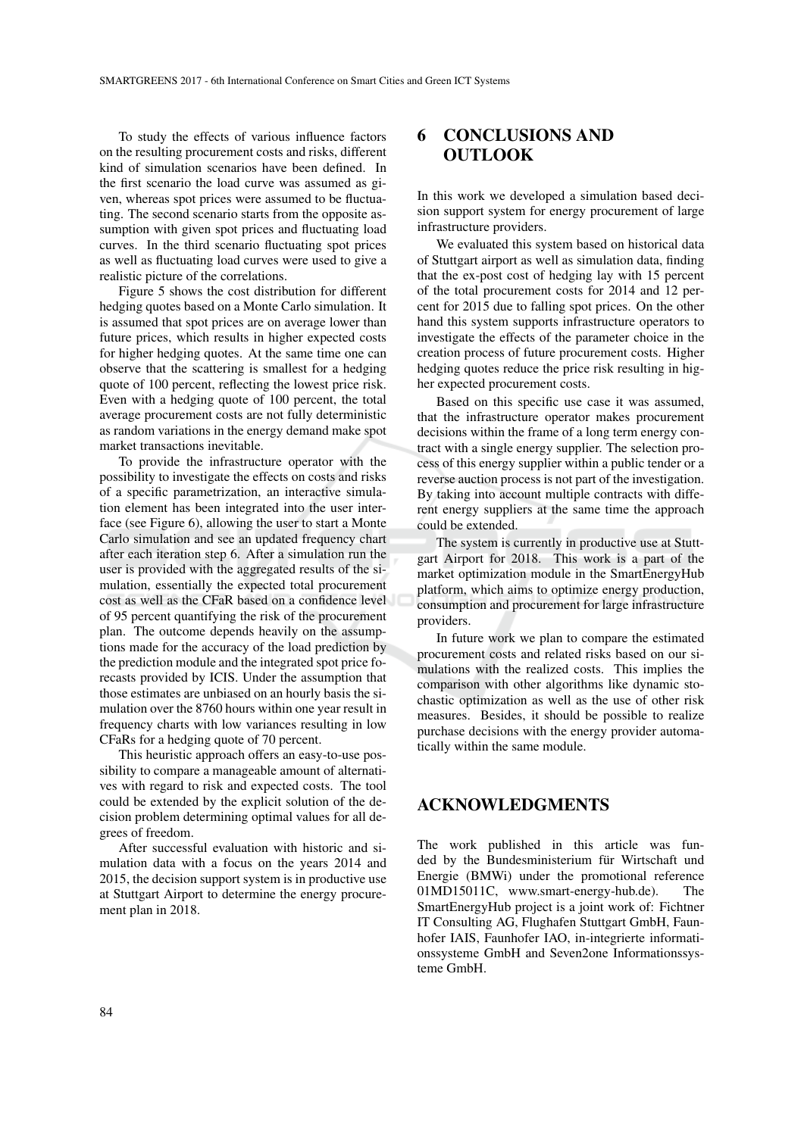To study the effects of various influence factors on the resulting procurement costs and risks, different kind of simulation scenarios have been defined. In the first scenario the load curve was assumed as given, whereas spot prices were assumed to be fluctuating. The second scenario starts from the opposite assumption with given spot prices and fluctuating load curves. In the third scenario fluctuating spot prices as well as fluctuating load curves were used to give a realistic picture of the correlations.

Figure 5 shows the cost distribution for different hedging quotes based on a Monte Carlo simulation. It is assumed that spot prices are on average lower than future prices, which results in higher expected costs for higher hedging quotes. At the same time one can observe that the scattering is smallest for a hedging quote of 100 percent, reflecting the lowest price risk. Even with a hedging quote of 100 percent, the total average procurement costs are not fully deterministic as random variations in the energy demand make spot market transactions inevitable.

To provide the infrastructure operator with the possibility to investigate the effects on costs and risks of a specific parametrization, an interactive simulation element has been integrated into the user interface (see Figure 6), allowing the user to start a Monte Carlo simulation and see an updated frequency chart after each iteration step 6. After a simulation run the user is provided with the aggregated results of the simulation, essentially the expected total procurement cost as well as the CFaR based on a confidence level of 95 percent quantifying the risk of the procurement plan. The outcome depends heavily on the assumptions made for the accuracy of the load prediction by the prediction module and the integrated spot price forecasts provided by ICIS. Under the assumption that those estimates are unbiased on an hourly basis the simulation over the 8760 hours within one year result in frequency charts with low variances resulting in low CFaRs for a hedging quote of 70 percent.

This heuristic approach offers an easy-to-use possibility to compare a manageable amount of alternatives with regard to risk and expected costs. The tool could be extended by the explicit solution of the decision problem determining optimal values for all degrees of freedom.

After successful evaluation with historic and simulation data with a focus on the years 2014 and 2015, the decision support system is in productive use at Stuttgart Airport to determine the energy procurement plan in 2018.

## 6 CONCLUSIONS AND **OUTLOOK**

In this work we developed a simulation based decision support system for energy procurement of large infrastructure providers.

We evaluated this system based on historical data of Stuttgart airport as well as simulation data, finding that the ex-post cost of hedging lay with 15 percent of the total procurement costs for 2014 and 12 percent for 2015 due to falling spot prices. On the other hand this system supports infrastructure operators to investigate the effects of the parameter choice in the creation process of future procurement costs. Higher hedging quotes reduce the price risk resulting in higher expected procurement costs.

Based on this specific use case it was assumed, that the infrastructure operator makes procurement decisions within the frame of a long term energy contract with a single energy supplier. The selection process of this energy supplier within a public tender or a reverse auction process is not part of the investigation. By taking into account multiple contracts with different energy suppliers at the same time the approach could be extended.

The system is currently in productive use at Stuttgart Airport for 2018. This work is a part of the market optimization module in the SmartEnergyHub platform, which aims to optimize energy production, consumption and procurement for large infrastructure providers.

In future work we plan to compare the estimated procurement costs and related risks based on our simulations with the realized costs. This implies the comparison with other algorithms like dynamic stochastic optimization as well as the use of other risk measures. Besides, it should be possible to realize purchase decisions with the energy provider automatically within the same module.

## ACKNOWLEDGMENTS

The work published in this article was funded by the Bundesministerium für Wirtschaft und Energie (BMWi) under the promotional reference 01MD15011C, www.smart-energy-hub.de). The SmartEnergyHub project is a joint work of: Fichtner IT Consulting AG, Flughafen Stuttgart GmbH, Faunhofer IAIS, Faunhofer IAO, in-integrierte informationssysteme GmbH and Seven2one Informationssysteme GmbH.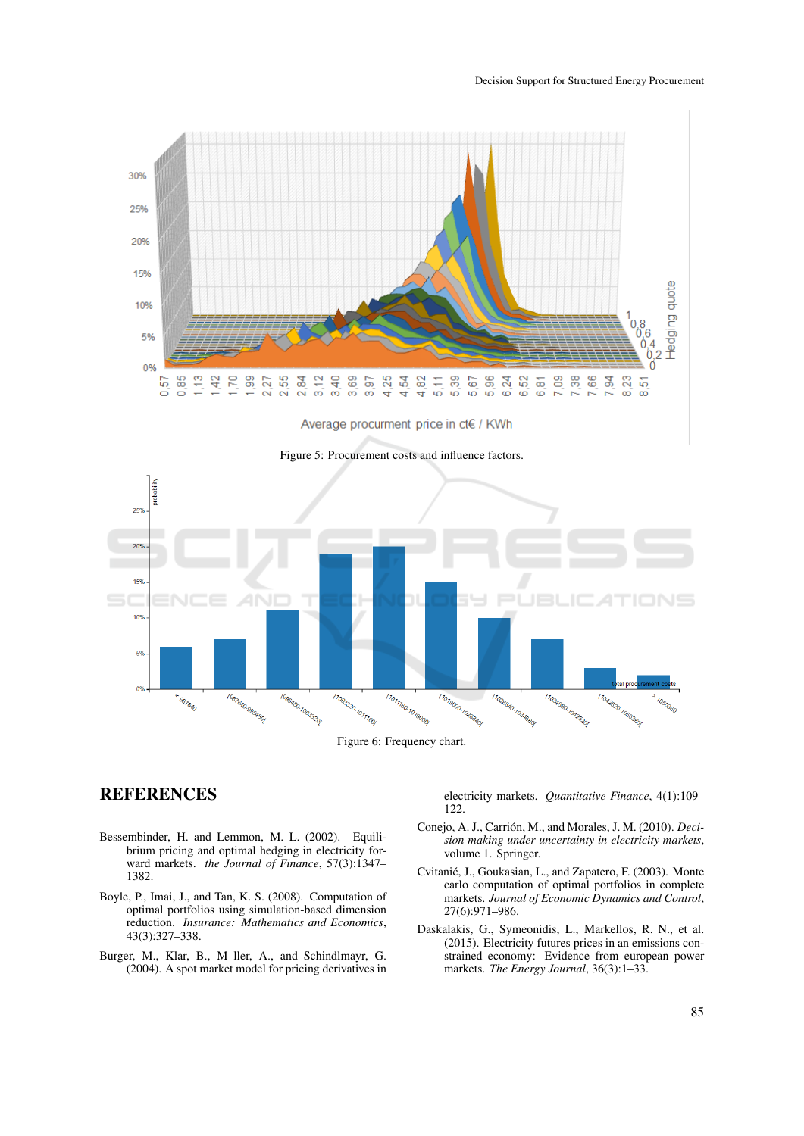#### Decision Support for Structured Energy Procurement



Figure 6: Frequency chart.

## **REFERENCES**

- Bessembinder, H. and Lemmon, M. L. (2002). Equilibrium pricing and optimal hedging in electricity forward markets. *the Journal of Finance*, 57(3):1347– 1382.
- Boyle, P., Imai, J., and Tan, K. S. (2008). Computation of optimal portfolios using simulation-based dimension reduction. *Insurance: Mathematics and Economics*, 43(3):327–338.
- Burger, M., Klar, B., M ller, A., and Schindlmayr, G. (2004). A spot market model for pricing derivatives in

electricity markets. *Quantitative Finance*, 4(1):109– 122.

10425201

- Conejo, A. J., Carrión, M., and Morales, J. M. (2010). Deci*sion making under uncertainty in electricity markets*, volume 1. Springer.
- Cvitanic, J., Goukasian, L., and Zapatero, F. (2003). Monte ´ carlo computation of optimal portfolios in complete markets. *Journal of Economic Dynamics and Control*, 27(6):971–986.
- Daskalakis, G., Symeonidis, L., Markellos, R. N., et al. (2015). Electricity futures prices in an emissions constrained economy: Evidence from european power markets. *The Energy Journal*, 36(3):1–33.